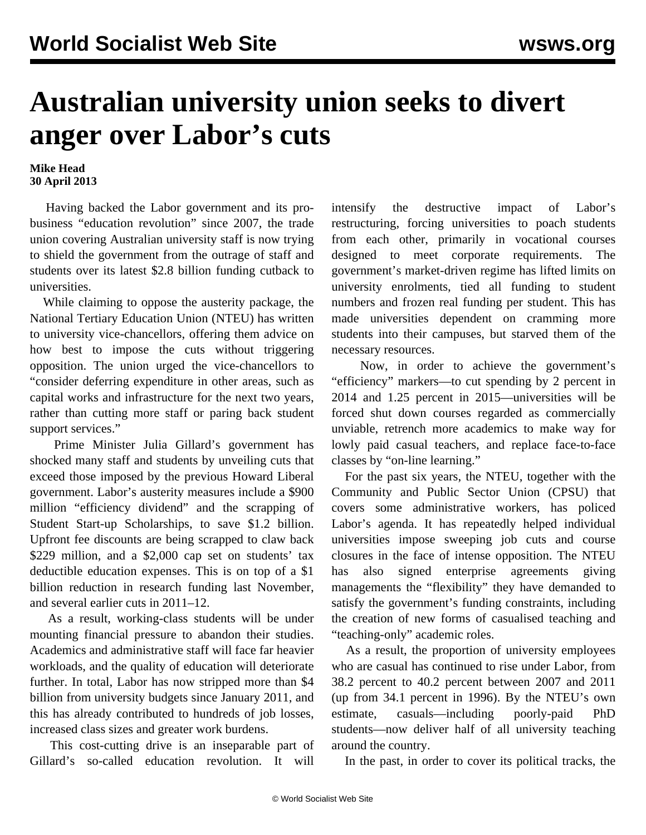## **Australian university union seeks to divert anger over Labor's cuts**

## **Mike Head 30 April 2013**

 Having backed the Labor government and its probusiness "education revolution" since 2007, the trade union covering Australian university staff is now trying to shield the government from the outrage of staff and students over its latest \$2.8 billion funding cutback to universities.

 While claiming to oppose the austerity package, the National Tertiary Education Union (NTEU) has written to university vice-chancellors, offering them advice on how best to impose the cuts without triggering opposition. The union urged the vice-chancellors to "consider deferring expenditure in other areas, such as capital works and infrastructure for the next two years, rather than cutting more staff or paring back student support services."

 Prime Minister Julia Gillard's government has shocked many staff and students by unveiling cuts that exceed those imposed by the previous Howard Liberal government. Labor's austerity measures include a \$900 million "efficiency dividend" and the scrapping of Student Start-up Scholarships, to save \$1.2 billion. Upfront fee discounts are being scrapped to claw back \$229 million, and a \$2,000 cap set on students' tax deductible education expenses. This is on top of a \$1 billion reduction in research funding last November, and several earlier cuts in 2011–12.

 As a result, working-class students will be under mounting financial pressure to abandon their studies. Academics and administrative staff will face far heavier workloads, and the quality of education will deteriorate further. In total, Labor has now stripped more than \$4 billion from university budgets since January 2011, and this has already contributed to hundreds of job losses, increased class sizes and greater work burdens.

 This cost-cutting drive is an inseparable part of Gillard's so-called education revolution. It will

intensify the destructive impact of Labor's restructuring, forcing universities to poach students from each other, primarily in vocational courses designed to meet corporate requirements. The government's market-driven regime has lifted limits on university enrolments, tied all funding to student numbers and frozen real funding per student. This has made universities dependent on cramming more students into their campuses, but starved them of the necessary resources.

 Now, in order to achieve the government's "efficiency" markers—to cut spending by 2 percent in 2014 and 1.25 percent in 2015—universities will be forced shut down courses regarded as commercially unviable, retrench more academics to make way for lowly paid casual teachers, and replace face-to-face classes by "on-line learning."

 For the past six years, the NTEU, together with the Community and Public Sector Union (CPSU) that covers some administrative workers, has policed Labor's agenda. It has repeatedly helped individual universities impose sweeping job cuts and course closures in the face of intense opposition. The NTEU has also signed enterprise agreements giving managements the "flexibility" they have demanded to satisfy the government's funding constraints, including the creation of new forms of casualised teaching and "teaching-only" academic roles.

 As a result, the proportion of university employees who are casual has continued to rise under Labor, from 38.2 percent to 40.2 percent between 2007 and 2011 (up from 34.1 percent in 1996). By the NTEU's own estimate, casuals—including poorly-paid PhD students—now deliver half of all university teaching around the country.

In the past, in order to cover its political tracks, the